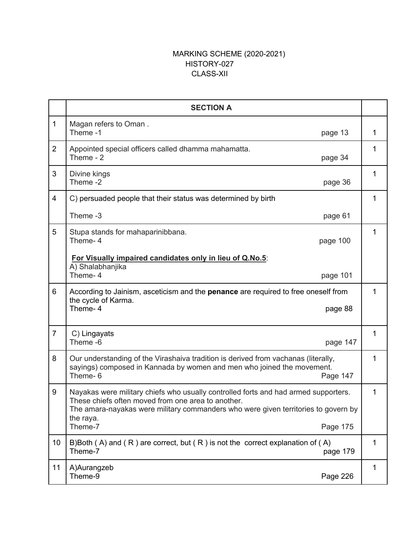## MARKING SCHEME (2020-2021) HISTORY-027 CLASS-XII

|                | <b>SECTION A</b>                                                                                                                                                                                                                                                    |   |
|----------------|---------------------------------------------------------------------------------------------------------------------------------------------------------------------------------------------------------------------------------------------------------------------|---|
| $\mathbf{1}$   | Magan refers to Oman.<br>Theme-1<br>page 13                                                                                                                                                                                                                         | 1 |
| $\overline{2}$ | Appointed special officers called dhamma mahamatta.<br>Theme - 2<br>page 34                                                                                                                                                                                         | 1 |
| 3              | Divine kings<br>Theme-2<br>page 36                                                                                                                                                                                                                                  | 1 |
| 4              | C) persuaded people that their status was determined by birth                                                                                                                                                                                                       | 1 |
|                | Theme -3<br>page 61                                                                                                                                                                                                                                                 |   |
| 5              | Stupa stands for mahaparinibbana.<br>Theme- 4<br>page 100                                                                                                                                                                                                           | 1 |
|                | For Visually impaired candidates only in lieu of Q.No.5:<br>A) Shalabhanjika<br>Theme-4<br>page 101                                                                                                                                                                 |   |
| 6              | According to Jainism, asceticism and the <b>penance</b> are required to free oneself from<br>the cycle of Karma.<br>Theme-4<br>page 88                                                                                                                              | 1 |
| $\overline{7}$ | C) Lingayats<br>Theme -6<br>page 147                                                                                                                                                                                                                                | 1 |
| 8              | Our understanding of the Virashaiva tradition is derived from vachanas (literally,<br>sayings) composed in Kannada by women and men who joined the movement.<br>Theme-6<br>Page 147                                                                                 | 1 |
| 9              | Nayakas were military chiefs who usually controlled forts and had armed supporters.<br>These chiefs often moved from one area to another.<br>The amara-nayakas were military commanders who were given territories to govern by<br>the raya.<br>Theme-7<br>Page 175 | 1 |
| 10             | B)Both (A) and (R) are correct, but (R) is not the correct explanation of (A)<br>Theme-7<br>page 179                                                                                                                                                                | 1 |
| 11             | A)Aurangzeb<br>Theme-9<br>Page 226                                                                                                                                                                                                                                  | 1 |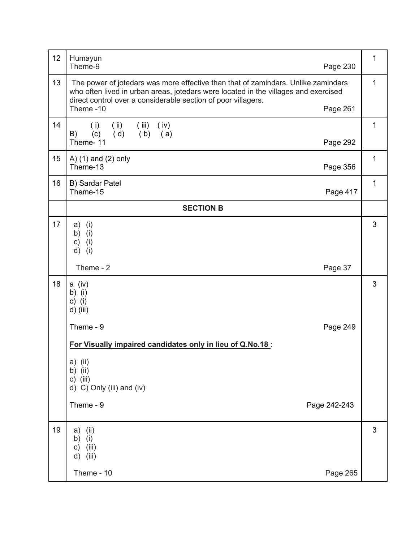| 12 | Humayun<br>Theme-9<br>Page 230                                                                                                                                                                                                            | $\mathbf{1}$ |
|----|-------------------------------------------------------------------------------------------------------------------------------------------------------------------------------------------------------------------------------------------|--------------|
| 13 | The power of jotedars was more effective than that of zamindars. Unlike zamindars<br>who often lived in urban areas, jotedars were located in the villages and exercised<br>direct control over a considerable section of poor villagers. | 1            |
|    | Theme-10<br>Page 261                                                                                                                                                                                                                      |              |
| 14 | (i)<br>(i)<br>(iv)<br>(iii)<br>(d)<br>(b) (a)<br>B)<br>(c)                                                                                                                                                                                | $\mathbf{1}$ |
|    | Theme-11<br>Page 292                                                                                                                                                                                                                      |              |
| 15 | A) (1) and (2) only<br>Theme-13<br>Page 356                                                                                                                                                                                               | $\mathbf{1}$ |
| 16 | B) Sardar Patel<br>Theme-15<br>Page 417                                                                                                                                                                                                   | 1            |
|    | <b>SECTION B</b>                                                                                                                                                                                                                          |              |
| 17 | (i)<br>a)<br>(i)<br>b)<br>(i)<br>c)<br>(i)<br>d)                                                                                                                                                                                          | 3            |
|    | Theme - 2<br>Page 37                                                                                                                                                                                                                      |              |
| 18 | a (iv)<br>b) (i)<br>c) $(i)$<br>d) (iii)                                                                                                                                                                                                  | 3            |
|    | Theme - 9<br>Page 249                                                                                                                                                                                                                     |              |
|    | For Visually impaired candidates only in lieu of Q.No.18:                                                                                                                                                                                 |              |
|    | a) (ii)<br>b) $(ii)$<br>$c)$ (iii)<br>d) C) Only (iii) and (iv)                                                                                                                                                                           |              |
|    | Theme - 9<br>Page 242-243                                                                                                                                                                                                                 |              |
| 19 | a)<br>(ii)<br>(i)<br>b)<br>(iii)<br>c)<br>(iii)<br>d)                                                                                                                                                                                     | 3            |
|    | Theme - 10<br>Page 265                                                                                                                                                                                                                    |              |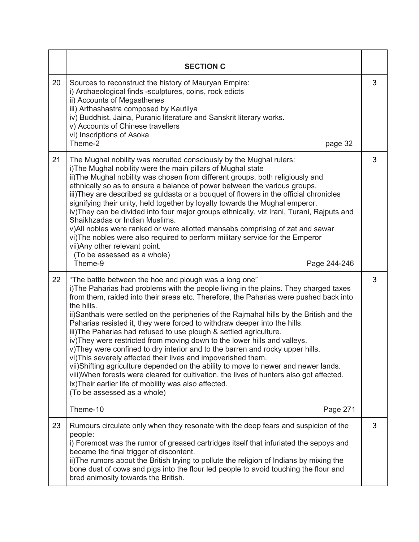|    | <b>SECTION C</b>                                                                                                                                                                                                                                                                                                                                                                                                                                                                                                                                                                                                                                                                                                                                                                                                                                                                                                                                                                                                                      |   |
|----|---------------------------------------------------------------------------------------------------------------------------------------------------------------------------------------------------------------------------------------------------------------------------------------------------------------------------------------------------------------------------------------------------------------------------------------------------------------------------------------------------------------------------------------------------------------------------------------------------------------------------------------------------------------------------------------------------------------------------------------------------------------------------------------------------------------------------------------------------------------------------------------------------------------------------------------------------------------------------------------------------------------------------------------|---|
| 20 | Sources to reconstruct the history of Mauryan Empire:<br>i) Archaeological finds -sculptures, coins, rock edicts<br>ii) Accounts of Megasthenes<br>iii) Arthashastra composed by Kautilya<br>iv) Buddhist, Jaina, Puranic literature and Sanskrit literary works.<br>v) Accounts of Chinese travellers<br>vi) Inscriptions of Asoka<br>Theme-2<br>page 32                                                                                                                                                                                                                                                                                                                                                                                                                                                                                                                                                                                                                                                                             | 3 |
| 21 | The Mughal nobility was recruited consciously by the Mughal rulers:<br>i) The Mughal nobility were the main pillars of Mughal state<br>ii) The Mughal nobility was chosen from different groups, both religiously and<br>ethnically so as to ensure a balance of power between the various groups.<br>iii)They are described as guldasta or a bouquet of flowers in the official chronicles<br>signifying their unity, held together by loyalty towards the Mughal emperor.<br>iv)They can be divided into four major groups ethnically, viz Irani, Turani, Rajputs and<br>Shaikhzadas or Indian Muslims.<br>v)All nobles were ranked or were allotted mansabs comprising of zat and sawar<br>vi) The nobles were also required to perform military service for the Emperor<br>vii) Any other relevant point.<br>(To be assessed as a whole)<br>Theme-9<br>Page 244-246                                                                                                                                                               | 3 |
| 22 | "The battle between the hoe and plough was a long one"<br>i)The Paharias had problems with the people living in the plains. They charged taxes<br>from them, raided into their areas etc. Therefore, the Paharias were pushed back into<br>the hills.<br>ii)Santhals were settled on the peripheries of the Rajmahal hills by the British and the<br>Paharias resisted it, they were forced to withdraw deeper into the hills.<br>iii) The Paharias had refused to use plough & settled agriculture.<br>iv) They were restricted from moving down to the lower hills and valleys.<br>v)They were confined to dry interior and to the barren and rocky upper hills.<br>vi) This severely affected their lives and impoverished them.<br>vii)Shifting agriculture depended on the ability to move to newer and newer lands.<br>viii) When forests were cleared for cultivation, the lives of hunters also got affected.<br>ix) Their earlier life of mobility was also affected.<br>(To be assessed as a whole)<br>Theme-10<br>Page 271 | 3 |
| 23 | Rumours circulate only when they resonate with the deep fears and suspicion of the<br>people:<br>i) Foremost was the rumor of greased cartridges itself that infuriated the sepoys and<br>became the final trigger of discontent.<br>ii) The rumors about the British trying to pollute the religion of Indians by mixing the<br>bone dust of cows and pigs into the flour led people to avoid touching the flour and<br>bred animosity towards the British.                                                                                                                                                                                                                                                                                                                                                                                                                                                                                                                                                                          | 3 |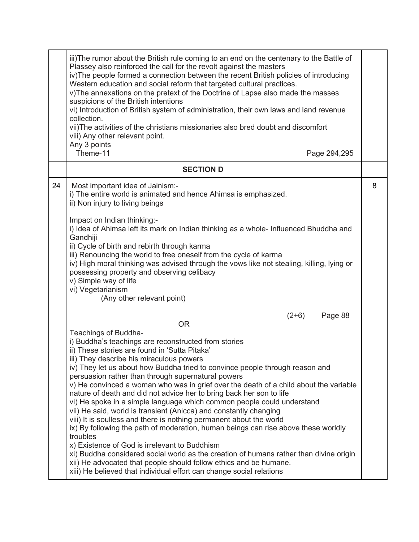|    | iii)The rumor about the British rule coming to an end on the centenary to the Battle of<br>Plassey also reinforced the call for the revolt against the masters<br>iv) The people formed a connection between the recent British policies of introducing<br>Western education and social reform that targeted cultural practices.<br>v) The annexations on the pretext of the Doctrine of Lapse also made the masses<br>suspicions of the British intentions<br>vi) Introduction of British system of administration, their own laws and land revenue<br>collection.<br>vii)The activities of the christians missionaries also bred doubt and discomfort<br>viii) Any other relevant point.<br>Any 3 points<br>Theme-11                                                                                                                                                                                                                                                                                                                                                                                                              |   |
|----|-------------------------------------------------------------------------------------------------------------------------------------------------------------------------------------------------------------------------------------------------------------------------------------------------------------------------------------------------------------------------------------------------------------------------------------------------------------------------------------------------------------------------------------------------------------------------------------------------------------------------------------------------------------------------------------------------------------------------------------------------------------------------------------------------------------------------------------------------------------------------------------------------------------------------------------------------------------------------------------------------------------------------------------------------------------------------------------------------------------------------------------|---|
|    | Page 294,295<br><b>SECTION D</b>                                                                                                                                                                                                                                                                                                                                                                                                                                                                                                                                                                                                                                                                                                                                                                                                                                                                                                                                                                                                                                                                                                    |   |
|    |                                                                                                                                                                                                                                                                                                                                                                                                                                                                                                                                                                                                                                                                                                                                                                                                                                                                                                                                                                                                                                                                                                                                     |   |
| 24 | Most important idea of Jainism:-<br>i) The entire world is animated and hence Ahimsa is emphasized.<br>ii) Non injury to living beings                                                                                                                                                                                                                                                                                                                                                                                                                                                                                                                                                                                                                                                                                                                                                                                                                                                                                                                                                                                              | 8 |
|    | Impact on Indian thinking:-<br>i) Idea of Ahimsa left its mark on Indian thinking as a whole- Influenced Bhuddha and<br>Gandhiji<br>ii) Cycle of birth and rebirth through karma<br>iii) Renouncing the world to free oneself from the cycle of karma<br>iv) High moral thinking was advised through the vows like not stealing, killing, lying or<br>possessing property and observing celibacy<br>v) Simple way of life<br>vi) Vegetarianism<br>(Any other relevant point)                                                                                                                                                                                                                                                                                                                                                                                                                                                                                                                                                                                                                                                        |   |
|    | $(2+6)$<br>Page 88<br><b>OR</b><br>Teachings of Buddha-<br>i) Buddha's teachings are reconstructed from stories<br>ii) These stories are found in 'Sutta Pitaka'<br>iii) They describe his miraculous powers<br>iv) They let us about how Buddha tried to convince people through reason and<br>persuasion rather than through supernatural powers<br>v) He convinced a woman who was in grief over the death of a child about the variable<br>nature of death and did not advice her to bring back her son to life<br>vi) He spoke in a simple language which common people could understand<br>vii) He said, world is transient (Anicca) and constantly changing<br>viii) It is soulless and there is nothing permanent about the world<br>ix) By following the path of moderation, human beings can rise above these worldly<br>troubles<br>x) Existence of God is irrelevant to Buddhism<br>xi) Buddha considered social world as the creation of humans rather than divine origin<br>xii) He advocated that people should follow ethics and be humane.<br>xiii) He believed that individual effort can change social relations |   |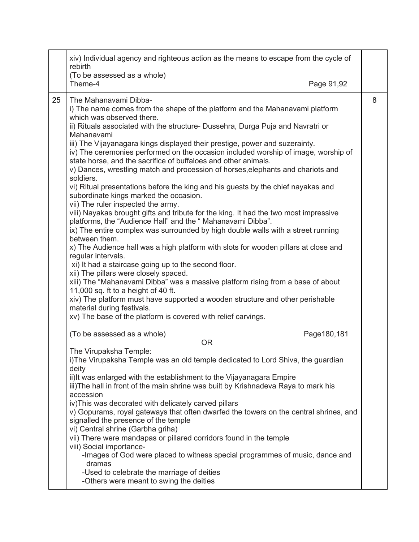|    | xiv) Individual agency and righteous action as the means to escape from the cycle of<br>rebirth                                                                                                                                                                                                                                                                                                                                                                                                                                                                                                                                                                                                                                                                                                                                                                                                                                                                                                                                                                                                                                                                                                                                                                                                                                                                                                                                                                                                                                    |   |
|----|------------------------------------------------------------------------------------------------------------------------------------------------------------------------------------------------------------------------------------------------------------------------------------------------------------------------------------------------------------------------------------------------------------------------------------------------------------------------------------------------------------------------------------------------------------------------------------------------------------------------------------------------------------------------------------------------------------------------------------------------------------------------------------------------------------------------------------------------------------------------------------------------------------------------------------------------------------------------------------------------------------------------------------------------------------------------------------------------------------------------------------------------------------------------------------------------------------------------------------------------------------------------------------------------------------------------------------------------------------------------------------------------------------------------------------------------------------------------------------------------------------------------------------|---|
|    | (To be assessed as a whole)<br>Theme-4<br>Page 91,92                                                                                                                                                                                                                                                                                                                                                                                                                                                                                                                                                                                                                                                                                                                                                                                                                                                                                                                                                                                                                                                                                                                                                                                                                                                                                                                                                                                                                                                                               |   |
| 25 | The Mahanavami Dibba-<br>i) The name comes from the shape of the platform and the Mahanavami platform<br>which was observed there.<br>ii) Rituals associated with the structure- Dussehra, Durga Puja and Navratri or<br>Mahanavami<br>iii) The Vijayanagara kings displayed their prestige, power and suzerainty.<br>iv) The ceremonies performed on the occasion included worship of image, worship of<br>state horse, and the sacrifice of buffaloes and other animals.<br>v) Dances, wrestling match and procession of horses, elephants and chariots and<br>soldiers.<br>vi) Ritual presentations before the king and his guests by the chief nayakas and<br>subordinate kings marked the occasion.<br>vii) The ruler inspected the army.<br>viii) Nayakas brought gifts and tribute for the king. It had the two most impressive<br>platforms, the "Audience Hall" and the " Mahanavami Dibba".<br>ix) The entire complex was surrounded by high double walls with a street running<br>between them.<br>x) The Audience hall was a high platform with slots for wooden pillars at close and<br>regular intervals.<br>xi) It had a staircase going up to the second floor.<br>xii) The pillars were closely spaced.<br>xiii) The "Mahanavami Dibba" was a massive platform rising from a base of about<br>11,000 sq. ft to a height of 40 ft.<br>xiv) The platform must have supported a wooden structure and other perishable<br>material during festivals.<br>xv) The base of the platform is covered with relief carvings. | 8 |
|    | (To be assessed as a whole)<br>Page180,181<br><b>OR</b>                                                                                                                                                                                                                                                                                                                                                                                                                                                                                                                                                                                                                                                                                                                                                                                                                                                                                                                                                                                                                                                                                                                                                                                                                                                                                                                                                                                                                                                                            |   |
|    | The Virupaksha Temple:<br>i) The Virupaksha Temple was an old temple dedicated to Lord Shiva, the guardian<br>deity<br>ii) It was enlarged with the establishment to the Vijayanagara Empire<br>iii)The hall in front of the main shrine was built by Krishnadeva Raya to mark his<br>accession<br>iv) This was decorated with delicately carved pillars<br>v) Gopurams, royal gateways that often dwarfed the towers on the central shrines, and<br>signalled the presence of the temple<br>vi) Central shrine (Garbha griha)<br>vii) There were mandapas or pillared corridors found in the temple<br>viii) Social importance-<br>-Images of God were placed to witness special programmes of music, dance and<br>dramas<br>-Used to celebrate the marriage of deities<br>-Others were meant to swing the deities                                                                                                                                                                                                                                                                                                                                                                                                                                                                                                                                                                                                                                                                                                                |   |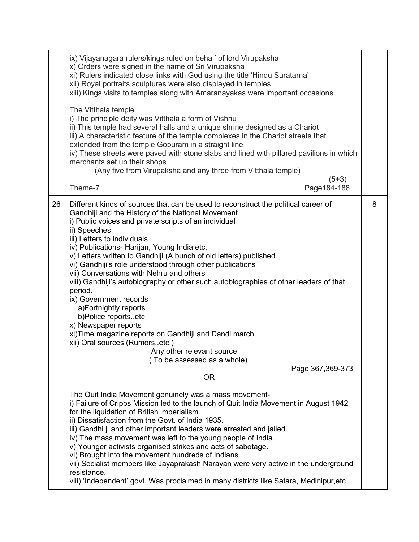|    | ix) Vijayanagara rulers/kings ruled on behalf of lord Virupaksha<br>x) Orders were signed in the name of Sri Virupaksha<br>xi) Rulers indicated close links with God using the title 'Hindu Suratarna'<br>xii) Royal portraits sculptures were also displayed in temples<br>xiii) Kings visits to temples along with Amaranayakas were important occasions.<br>The Vitthala temple<br>i) The principle deity was Vitthala a form of Vishnu<br>ii) This temple had several halls and a unique shrine designed as a Chariot<br>iii) A characteristic feature of the temple complexes in the Chariot streets that<br>extended from the temple Gopuram in a straight line<br>iv) These streets were paved with stone slabs and lined with pillared pavilions in which<br>merchants set up their shops<br>(Any five from Virupaksha and any three from Vitthala temple)<br>$(5+3)$ |   |
|----|-------------------------------------------------------------------------------------------------------------------------------------------------------------------------------------------------------------------------------------------------------------------------------------------------------------------------------------------------------------------------------------------------------------------------------------------------------------------------------------------------------------------------------------------------------------------------------------------------------------------------------------------------------------------------------------------------------------------------------------------------------------------------------------------------------------------------------------------------------------------------------|---|
|    | Theme-7<br>Page 184-188                                                                                                                                                                                                                                                                                                                                                                                                                                                                                                                                                                                                                                                                                                                                                                                                                                                       |   |
| 26 | Different kinds of sources that can be used to reconstruct the political career of<br>Gandhiji and the History of the National Movement.<br>i) Public voices and private scripts of an individual<br>ii) Speeches<br>iii) Letters to individuals<br>iv) Publications- Harijan, Young India etc.<br>v) Letters written to Gandhiji (A bunch of old letters) published.<br>vi) Gandhiji's role understood through other publications<br>vii) Conversations with Nehru and others<br>viii) Gandhiji's autobiography or other such autobiographies of other leaders of that<br>period.<br>ix) Government records<br>a)Fortnightly reports<br>b)Police reportsetc<br>x) Newspaper reports<br>xi) Time magazine reports on Gandhiji and Dandi march<br>xii) Oral sources (Rumorsetc.)<br>Any other relevant source<br>(To be assessed as a whole)<br>Page 367,369-373<br><b>OR</b>  | 8 |
|    | The Quit India Movement genuinely was a mass movement-<br>i) Failure of Cripps Mission led to the launch of Quit India Movement in August 1942<br>for the liquidation of British imperialism.<br>ii) Dissatisfaction from the Govt. of India 1935.<br>iii) Gandhi ji and other important leaders were arrested and jailed.<br>iv) The mass movement was left to the young people of India.<br>v) Younger activists organised strikes and acts of sabotage.<br>vi) Brought into the movement hundreds of Indians.<br>vii) Socialist members like Jayaprakash Narayan were very active in the underground<br>resistance.<br>viii) 'Independent' govt. Was proclaimed in many districts like Satara, Medinipur, etc                                                                                                                                                              |   |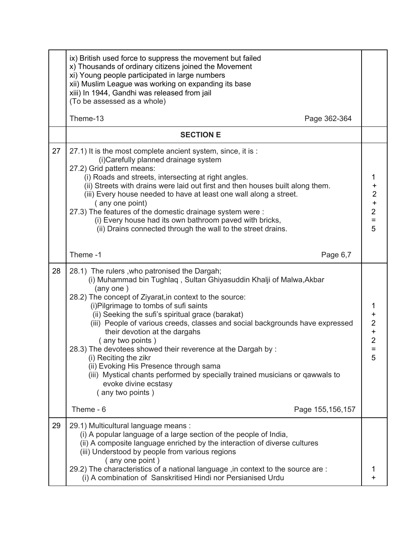|    | ix) British used force to suppress the movement but failed<br>x) Thousands of ordinary citizens joined the Movement<br>xi) Young people participated in large numbers<br>xii) Muslim League was working on expanding its base<br>xiii) In 1944, Gandhi was released from jail<br>(To be assessed as a whole)                                                                                                                                                                                                                                                                                                                                                                                    |                                                                           |
|----|-------------------------------------------------------------------------------------------------------------------------------------------------------------------------------------------------------------------------------------------------------------------------------------------------------------------------------------------------------------------------------------------------------------------------------------------------------------------------------------------------------------------------------------------------------------------------------------------------------------------------------------------------------------------------------------------------|---------------------------------------------------------------------------|
|    | Theme-13<br>Page 362-364                                                                                                                                                                                                                                                                                                                                                                                                                                                                                                                                                                                                                                                                        |                                                                           |
|    | <b>SECTION E</b>                                                                                                                                                                                                                                                                                                                                                                                                                                                                                                                                                                                                                                                                                |                                                                           |
| 27 | 27.1) It is the most complete ancient system, since, it is :<br>(i)Carefully planned drainage system<br>27.2) Grid pattern means:<br>(i) Roads and streets, intersecting at right angles.<br>(ii) Streets with drains were laid out first and then houses built along them.<br>(iii) Every house needed to have at least one wall along a street.<br>(any one point)<br>27.3) The features of the domestic drainage system were :<br>(i) Every house had its own bathroom paved with bricks,<br>(ii) Drains connected through the wall to the street drains.                                                                                                                                    | 1<br>$\ddot{}$<br>$\begin{array}{c} 2 \\ + \\ 2 \end{array}$<br>$=$<br>5  |
|    | Theme-1<br>Page 6,7                                                                                                                                                                                                                                                                                                                                                                                                                                                                                                                                                                                                                                                                             |                                                                           |
| 28 | 28.1) The rulers, who patronised the Dargah;<br>(i) Muhammad bin Tughlaq, Sultan Ghiyasuddin Khalji of Malwa, Akbar<br>(any one)<br>28.2) The concept of Ziyarat, in context to the source:<br>(i) Pilgrimage to tombs of sufi saints<br>(ii) Seeking the sufi's spiritual grace (barakat)<br>(iii) People of various creeds, classes and social backgrounds have expressed<br>their devotion at the dargahs<br>(any two points)<br>28.3) The devotees showed their reverence at the Dargah by :<br>(i) Reciting the zikr<br>(ii) Evoking His Presence through sama<br>(iii) Mystical chants performed by specially trained musicians or qawwals to<br>evoke divine ecstasy<br>(any two points) | 1<br>$\ddot{}$<br>$\overline{c}$<br>$\ddot{}$<br>$\overline{2}$<br>Ξ<br>5 |
|    | Theme - 6<br>Page 155, 156, 157                                                                                                                                                                                                                                                                                                                                                                                                                                                                                                                                                                                                                                                                 |                                                                           |
| 29 | 29.1) Multicultural language means :<br>(i) A popular language of a large section of the people of India,<br>(ii) A composite language enriched by the interaction of diverse cultures<br>(iii) Understood by people from various regions<br>(any one point)<br>29.2) The characteristics of a national language, in context to the source are :<br>(i) A combination of Sanskritised Hindi nor Persianised Urdu                                                                                                                                                                                                                                                                                | 1                                                                         |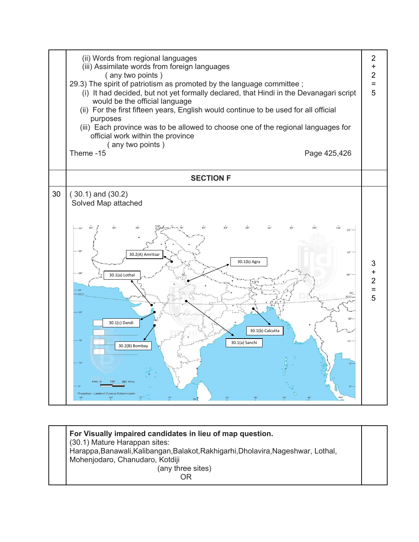

**For Visually impaired candidates in lieu of map question.** (30.1) Mature Harappan sites: Harappa,Banawali,Kalibangan,Balakot,Rakhigarhi,Dholavira,Nageshwar, Lothal, Mohenjodaro, Chanudaro, Kotdiji (any three sites) **ORIGINAL CONTRACT CONTRACT ORIGINAL**